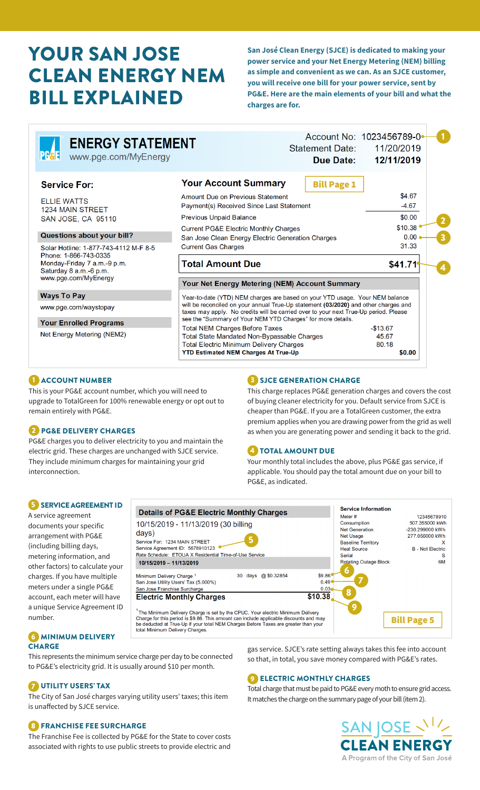# YOUR SAN JOSE CLEAN ENERGY NEM BILL EXPLAINED

**San José Clean Energy (SJCE) is dedicated to making your power service and your Net Energy Metering (NEM) billing as simple and convenient as we can. As an SJCE customer, you will receive one bill for your power service, sent by PG&E. Here are the main elements of your bill and what the charges are for.**

| <b>ENERGY STATEMENT</b><br><b>PGGE</b><br>www.pge.com/MyEnergy                 |                                                                                                                                                                                                                                                             | <b>Statement Date:</b><br><b>Due Date:</b> | Account No: 1023456789-0<br>11/20/2019<br>12/11/2019 |  |  |
|--------------------------------------------------------------------------------|-------------------------------------------------------------------------------------------------------------------------------------------------------------------------------------------------------------------------------------------------------------|--------------------------------------------|------------------------------------------------------|--|--|
| <b>Service For:</b>                                                            | <b>Your Account Summary</b>                                                                                                                                                                                                                                 | <b>Bill Page 1</b>                         |                                                      |  |  |
| <b>ELLIE WATTS</b><br><b>1234 MAIN STREET</b>                                  | Amount Due on Previous Statement<br>Payment(s) Received Since Last Statement                                                                                                                                                                                |                                            | \$4.67<br>$-4.67$                                    |  |  |
| SAN JOSE, CA 95110                                                             | <b>Previous Unpaid Balance</b>                                                                                                                                                                                                                              | \$0.00                                     |                                                      |  |  |
| Questions about your bill?<br>Solar Hotline: 1-877-743-4112 M-F 8-5            | <b>Current PG&amp;E Electric Monthly Charges</b><br>San Jose Clean Energy Electric Generation Charges<br><b>Current Gas Charges</b>                                                                                                                         |                                            | \$10.38<br>0.00<br>31.33                             |  |  |
| Phone: 1-866-743-0335<br>Monday-Friday 7 a.m.-9 p.m.<br>Saturday 8 a.m.-6 p.m. | <b>Total Amount Due</b>                                                                                                                                                                                                                                     | \$41.71                                    |                                                      |  |  |
| www.pge.com/MyEnergy                                                           | Your Net Energy Metering (NEM) Account Summary                                                                                                                                                                                                              |                                            |                                                      |  |  |
| <b>Ways To Pay</b>                                                             | Year-to-date (YTD) NEM charges are based on your YTD usage. Your NEM balance<br>will be reconciled on your annual True-Up statement (03/2020) and other charges and<br>taxes may apply. No credits will be carried over to your next True-Up period. Please |                                            |                                                      |  |  |
| www.pge.com/waystopay                                                          |                                                                                                                                                                                                                                                             |                                            |                                                      |  |  |
| <b>Your Enrolled Programs</b>                                                  | see the "Summary of Your NEM YTD Charges" for more details.                                                                                                                                                                                                 |                                            |                                                      |  |  |
| Net Energy Metering (NEM2)                                                     | <b>Total NEM Charges Before Taxes</b><br>Total State Mandated Non-Bypassable Charges<br><b>Total Electric Minimum Delivery Charges</b><br><b>YTD Estimated NEM Charges At True-Up</b>                                                                       |                                            | $-$ \$13.67<br>45.67<br>80.18<br>\$0.00              |  |  |

#### 1 ACCOUNT NUMBER

This is your PG&E account number, which you will need to upgrade to TotalGreen for 100% renewable energy or opt out to remain entirely with PG&E.

#### 2 PG&E DELIVERY CHARGES

PG&E charges you to deliver electricity to you and maintain the electric grid. These charges are unchanged with SJCE service. They include minimum charges for maintaining your grid interconnection.

#### **3** SJCE GENERATION CHARGE

This charge replaces PG&E generation charges and covers the cost of buying cleaner electricity for you. Default service from SJCE is cheaper than PG&E. If you are a TotalGreen customer, the extra premium applies when you are drawing power from the grid as well as when you are generating power and sending it back to the grid.

## 4 TOTAL AMOUNT DUE

Your monthly total includes the above, plus PG&E gas service, if applicable. You should pay the total amount due on your bill to PG&E, as indicated.

#### 5 SERVICE AGREEMENT ID

A service agreement documents your specific arrangement with PG&E (including billing days, metering information, and other factors) to calculate your charges. If you have multiple meters under a single PG&E account, each meter will have a unique Service Agreement ID number.

Service Information **Details of PG&E Electric Monthly Charges** Meter # 12345678910 507.355000 kWh 10/15/2019 - 11/13/2019 (30 billing Consumption Net Generation 230.299000 kWh  $davs)$ **Net Usage** 277.056000 kWh 5 Service For: 1234 MAIN STREET Baseline Territory Service Agreement ID: 5678910123 **B** - Not Electric **Heat Source** Rate Schedule: ETOUA X Residential Time-of-Use Service Serial  $\mathbf{s}$ **Rotating Outage Block** 6M 10/15/2019 - 11/13/2019 6 Minimum Delivery Charge<sup>1</sup><br>San Jose Utility Users' Tax (5.000%) \$9.86 30 days @ \$0.32854 7  $0.49C$ San Jose Franchise Surch  $0.03$ 8  $$10.38$ **Electric Monthly Charges** 9 <sup>1</sup>The Minimum Delivery Charge is set by the CPUC. Your electric Minimum Delivery Charge for this period is \$9.86. This amount can include applicable discounts and may be deducted at True-Up if your total NEM Charges Befo Bill Page 5

#### **6 MINIMUM DELIVERY CHARGE**

This represents the minimum service charge per day to be connected to PG&E's electricity grid. It is usually around \$10 per month.

## 7 UTILITY USERS' TAX

The City of San José charges varying utility users' taxes; this item is unaffected by SJCE service.

#### 8 FRANCHISE FEE SURCHARGE

The Franchise Fee is collected by PG&E for the State to cover costs associated with rights to use public streets to provide electric and

gas service. SJCE's rate setting always takes this fee into account so that, in total, you save money compared with PG&E's rates.

## **9 ELECTRIC MONTHLY CHARGES**

Total charge that must be paid to PG&E every moth to ensure grid access. It matches the charge on the summary page of your bill (item 2).